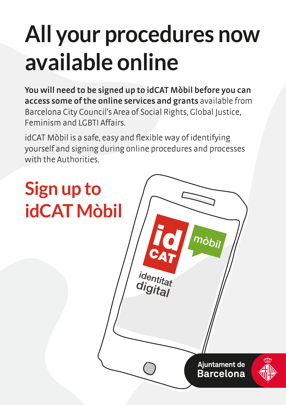## **All your procedures now available online**

**You will need to be signed up to idCAT Mòbil before you can access some of the online services and grants** available from Barcelona City Council's Area of Social Rights, Global Justice, Feminism and LGBTI Affairs.

idCAT Mòbil is a safe, easy and flexible way of identifying yourself and signing during online procedures and processes with the Authorities.